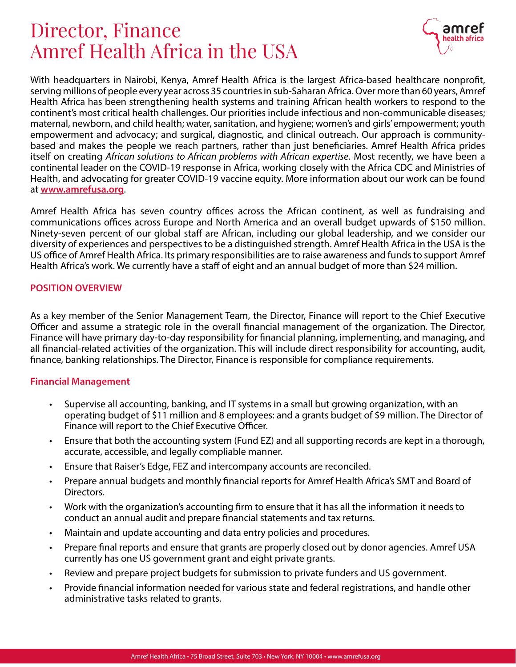# Director, Finance Amref Health Africa in the USA



With headquarters in Nairobi, Kenya, Amref Health Africa is the largest Africa-based healthcare nonprofit, serving millions of people every year across 35 countries in sub-Saharan Africa. Over more than 60 years, Amref Health Africa has been strengthening health systems and training African health workers to respond to the continent's most critical health challenges. Our priorities include infectious and non-communicable diseases; maternal, newborn, and child health; water, sanitation, and hygiene; women's and girls' empowerment; youth empowerment and advocacy; and surgical, diagnostic, and clinical outreach. Our approach is communitybased and makes the people we reach partners, rather than just beneficiaries. Amref Health Africa prides itself on creating *African solutions to African problems with African expertise*. Most recently, we have been a continental leader on the COVID-19 response in Africa, working closely with the Africa CDC and Ministries of Health, and advocating for greater COVID-19 vaccine equity. More information about our work can be found at [www.amrefusa.org.](http://www.amrefusa.org)

Amref Health Africa has seven country offices across the African continent, as well as fundraising and communications offices across Europe and North America and an overall budget upwards of \$150 million. Ninety-seven percent of our global staff are African, including our global leadership, and we consider our diversity of experiences and perspectives to be a distinguished strength. Amref Health Africa in the USA is the US office of Amref Health Africa. Its primary responsibilities are to raise awareness and funds to support Amref Health Africa's work. We currently have a staff of eight and an annual budget of more than \$24 million.

#### POSITION OVERVIEW

As a key member of the Senior Management Team, the Director, Finance will report to the Chief Executive Officer and assume a strategic role in the overall financial management of the organization. The Director, Finance will have primary day-to-day responsibility for financial planning, implementing, and managing, and all financial-related activities of the organization. This will include direct responsibility for accounting, audit, finance, banking relationships. The Director, Finance is responsible for compliance requirements.

## Financial Management

- Supervise all accounting, banking, and IT systems in a small but growing organization, with an operating budget of \$11 million and 8 employees: and a grants budget of \$9 million. The Director of Finance will report to the Chief Executive Officer.
- Ensure that both the accounting system (Fund EZ) and all supporting records are kept in a thorough, accurate, accessible, and legally compliable manner.
- Ensure that Raiser's Edge, FEZ and intercompany accounts are reconciled.
- Prepare annual budgets and monthly financial reports for Amref Health Africa's SMT and Board of Directors.
- Work with the organization's accounting firm to ensure that it has all the information it needs to conduct an annual audit and prepare financial statements and tax returns.
- Maintain and update accounting and data entry policies and procedures.
- Prepare final reports and ensure that grants are properly closed out by donor agencies. Amref USA currently has one US government grant and eight private grants.
- Review and prepare project budgets for submission to private funders and US government.
- Provide financial information needed for various state and federal registrations, and handle other administrative tasks related to grants.